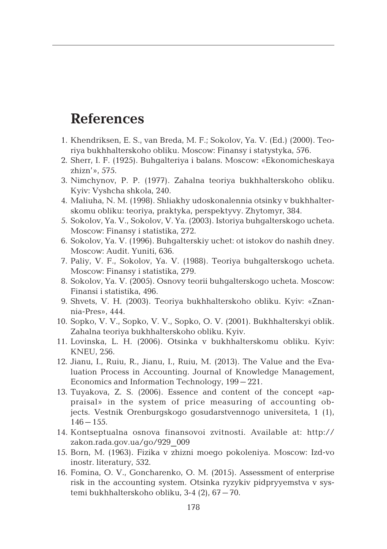## **References**

- 1. Khendriksen, E. S., van Breda, M. F.; Sokolov, Ya. V. (Ed.) (2000). Teoriya bukhhalterskoho obliku. Moscow: Finansy i statystyka, 576.
- 2. Sherr, I. F. (1925). Buhgalteriya i balans. Moscow: «Ekonomicheskaya zhizn'», 575.
- 3. Nimchynov, P. P. (1977). Zahalna teoriya bukhhalterskoho obliku. Kyiv: Vyshcha shkola, 240.
- 4. Maliuha, N. M. (1998). Shliakhy udoskonalennia otsinky v bukhhalterskomu obliku: teoriya, praktyka, perspektyvy. Zhytomyr, 384.
- 5. Sokolov, Ya. V., Sokolov, V. Ya. (2003). Istoriya buhgalterskogo ucheta. Moscow: Finansy i statistika, 272.
- 6. Sokolov, Ya. V. (1996). Buhgalterskiy uchet: ot istokov do nashih dney. Moscow: Audit. Yuniti, 636.
- 7. Paliy, V. F., Sokolov, Ya. V. (1988). Teoriya buhgalterskogo ucheta. Moscow: Finansy i statistika, 279.
- 8. Sokolov, Ya. V. (2005). Osnovy teorii buhgalterskogo ucheta. Moscow: Finansi i statistika, 496.
- 9. Shvets, V. H. (2003). Teoriya bukhhalterskoho obliku. Kyiv: «Znannia-Pres», 444.
- 10. Sopko, V. V., Sopko, V. V., Sopko, O. V. (2001). Bukhhalterskyi oblik. Zahalna teoriya bukhhalterskoho obliku. Kyiv.
- 11. Lovinska, L. H. (2006). Otsinka v bukhhalterskomu obliku. Kyiv: KNEU, 256.
- 12. Jianu, I., Ruiu, R., Jianu, I., Ruiu, M. (2013). The Value and the Evaluation Process in Accounting. Journal of Knowledge Management, Economics and Information Technology, 199–221.
- 13. Tuyakova, Z. S. (2006). Essence and content of the concept «appraisal» in the system of price measuring of accounting objects. Vestnik Orenburgskogo gosudarstvennogo universiteta, 1 (1),  $146 - 155$ .
- 14. Kontseptualna osnova finansovoi zvitnosti. Available at: http:// zakon.rada.gov.ua/go/929\_009
- 15. Born, M. (1963). Fizika v zhizni moego pokoleniya. Moscow: Izd-vo inostr. literatury, 532.
- 16. Fomina, O. V., Goncharenko, O. M. (2015). Assessment of enterprise risk in the accounting system. Otsinka ryzykiv pidpryyemstva v systemi bukhhalterskoho obliku, 3-4 (2), 67–70.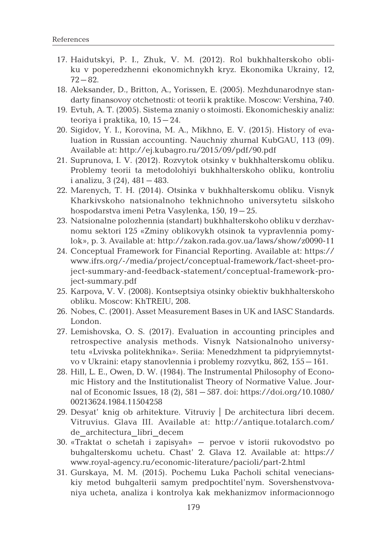- 17. Haidutskyi, P. I., Zhuk, V. M. (2012). Rol bukhhalterskoho obliku v poperedzhenni ekonomichnykh kryz. Ekonomika Ukrainy, 12, 72–82.
- 18. Aleksander, D., Britton, A., Yorissen, E. (2005). Mezhdunarodnye standarty finansovoy otchetnosti: ot teorii k praktike. Moscow: Vershina, 740.
- 19. Evtuh, A. T. (2005). Sistema znaniy o stoimosti. Ekonomicheskiy analiz: teoriya i praktika, 10, 15–24.
- 20. Sigidov, Y. I., Korovina, M. A., Mikhno, E. V. (2015). History of evaluation in Russian accounting. Nauchniy zhurnal KubGAU, 113 (09). Available at: http://ej.kubagro.ru/2015/09/pdf/90.pdf
- 21. Suprunova, I. V. (2012). Rozvytok otsinky v bukhhalterskomu obliku. Problemy teorii ta metodolohiyi bukhhalterskoho obliku, kontroliu i analizu, 3 (24), 481–483.
- 22. Marenych, T. H. (2014). Otsinka v bukhhalterskomu obliku. Visnyk Kharkivskoho natsionalnoho tekhnichnoho universytetu silskoho hospodarstva imeni Petra Vasylenka, 150, 19–25.
- 23. Natsionalne polozhennia (standart) bukhhalterskoho obliku v derzhavnomu sektori 125 «Zminy oblikovykh otsinok ta vypravlennia pomylok», p. 3. Available at: http://zakon.rada.gov.ua/laws/show/z0090-11
- 24. Conceptual Framework for Financial Reporting. Available at: https:// www.ifrs.org/-/media/project/conceptual-framework/fact-sheet-project-summary-and-feedback-statement/conceptual-framework-project-summary.pdf
- 25. Karpova, V. V. (2008). Kontseptsiya otsinky obiektiv bukhhalterskoho obliku. Moscow: KhTREIU, 208.
- 26. Nobes, C. (2001). Asset Measurement Bases in UK and IASC Standards. London.
- 27. Lemishovska, O. S. (2017). Evaluation in accounting principles and retrospective analysis methods. Visnyk Natsionalnoho universytetu «Lvivska politekhnika». Seriia: Menedzhment ta pidpryiemnytstvo v Ukraini: etapy stanovlennia i problemy rozvytku, 862, 155–161.
- 28. Hill, L. E., Owen, D. W. (1984). The Instrumental Philosophy of Economic History and the Institutionalist Theory of Normative Value. Journal of Economic Issues, 18 (2), 581–587. doi: https://doi.org/10.1080/ 00213624.1984.11504258
- 29. Desyat' knig ob arhitekture. Vitruviy | De architectura libri decem. Vitruvius. Glava III. Available at: http://antique.totalarch.com/ de\_architectura\_libri\_decem
- 30. «Traktat o schetah i zapisyah» pervoe v istorii rukovodstvo po buhgalterskomu uchetu. Chast' 2. Glava 12. Available at: https:// www.royal-agency.ru/economic-literature/pacioli/part-2.html
- 31. Gurskaya, M. M. (2015). Pochemu Luka Pacholi schital venecianskiy metod buhgalterii samym predpochtitel'nym. Sovershenstvovaniya ucheta, analiza i kontrolya kak mekhanizmov informacionnogo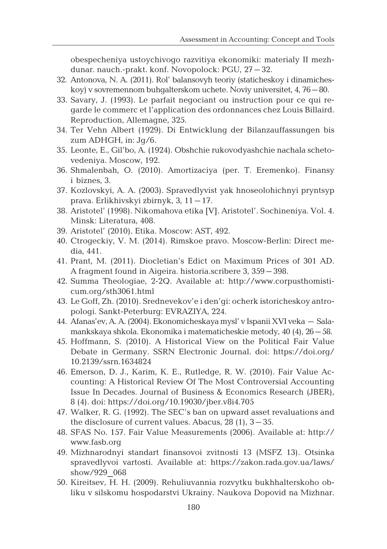obespecheniya ustoychivogo razvitiya ekonomiki: materialy II mezhdunar. nauch.-prakt. konf. Novopolock: PGU, 27–32.

- 32. Antonova, N. A. (2011). Rol' balansovyh teoriy (staticheskoy i dinamicheskoy) v sovremennom buhgalterskom uchete. Noviy universitet, 4, 76–80.
- 33. Savary, J. (1993). Le parfait nеgociant ou instruction pour ce qui regarde le commerc et l'application des ordonnances chez Louis Billaird. Reproduction, Allemagne, 325.
- 34. Ter Vehn Albert (1929). Di Entwicklung der Bilanzauffassungen bis zum ADHGH, in: Jg/6.
- 35. Leonte, E., Gil'bo, A. (1924). Obshchie rukovodyashchie nachala schetovedeniya. Moscow, 192.
- 36. Shmalenbah, O. (2010). Amortizaciya (per. T. Eremenko). Finansy i biznes, 3.
- 37. Kozlovskyi, A. A. (2003). Spravedlyvist yak hnoseolohichnyi pryntsyp prava. Erlikhivskyi zbirnyk, 3, 11–17.
- 38. Aristotel' (1998). Nikomahova etika [V]. Aristotel'. Sochineniya. Vol. 4. Minsk: Literatura, 408.
- 39. Aristotel' (2010). Etika. Moscow: AST, 492.
- 40. Ctrogeckiy, V. M. (2014). Rimskoe pravo. Moscow-Berlin: Direct media, 441.
- 41. Prant, M. (2011). Diocletian's Edict on Maximum Prices of 301 AD. A fragment found in Aigeira. historia.scribere 3, 359–398.
- 42. Summa Theologiae, 2-2Q. Available at: http://www.corpusthomisticum.org/sth3061.html
- 43. Le Goff, Zh. (2010). Srednevekov'e i den'gi: ocherk istoricheskoy antropologi. Sankt-Peterburg: EVRAZIYA, 224.
- 44. Afanas'ev, A. A.(2004). Ekonomicheskaya mysl' v Ispanii XVI veka Salamankskaya shkola. Ekonomika i matematicheskie metody, 40 (4), 26–58.
- 45. Hoffmann, S. (2010). A Historical View on the Political Fair Value Debate in Germany. SSRN Electronic Journal. doi: https://doi.org/ 10.2139/ssrn.1634824
- 46. Emerson, D. J., Karim, K. E., Rutledge, R. W. (2010). Fair Value Accounting: A Historical Review Of The Most Controversial Accounting Issue In Decades. Journal of Business & Economics Research (JBER), 8 (4). doi: https://doi.org/10.19030/jber.v8i4.705
- 47. Walker, R. G. (1992). The SEC's ban on upward asset revaluations and the disclosure of current values. Abacus,  $28(1)$ ,  $3-35$ .
- 48. SFAS No. 157. Fair Value Measurements (2006). Available at: http:// www.fasb.org
- 49. Mizhnarodnyi standart finansovoi zvitnosti 13 (MSFZ 13). Otsinka spravedlyvoi vartosti. Available at: https://zakon.rada.gov.ua/laws/ show/929\_068
- 50. Kireitsev, H. H. (2009). Rehuliuvannia rozvytku bukhhalterskoho obliku v silskomu hospodarstvi Ukrainy. Naukova Dopovid na Mizhnar.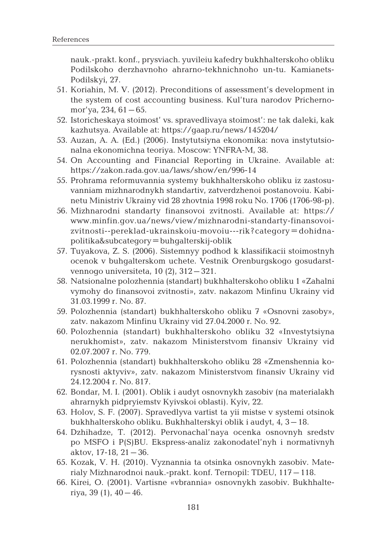nauk.-prakt. konf., prysviach. yuvileiu kafedry bukhhalterskoho obliku Podilskoho derzhavnoho ahrarno-tekhnichnoho un-tu. Kamianets-Podilskyi, 27.

- 51. Koriahin, M. V. (2012). Preconditions of assessment's development in the system of cost accounting business. Kul'tura narodov Prichernomor'ya, 234, 61–65.
- 52. Istoricheskaya stoimost' vs. spravedlivaya stoimost': ne tak daleki, kak kazhutsya. Available at: https://gaap.ru/news/145204/
- 53. Auzan, A. A. (Ed.) (2006). Instytutsiyna ekonomika: nova instytutsionalna ekonomichna teoriya. Moscow: YNFRA-M, 38.
- 54. On Accounting and Financial Reporting in Ukraine. Available at: https://zakon.rada.gov.ua/laws/show/en/996-14
- 55. Prohrama reformuvannia systemy bukhhalterskoho obliku iz zastosuvanniam mizhnarodnykh standartiv, zatverdzhenoi postanovoiu. Kabinetu Ministriv Ukrainy vid 28 zhovtnia 1998 roku No. 1706 (1706-98-p).
- 56. Mizhnarodni standarty finansovoi zvitnosti. Available at: https:// www.minfin.gov.ua/news/view/mizhnarodni-standarty-finansovoizvitnosti--pereklad-ukrainskoiu-movoiu---rik?category=dohidnapolitika&subcategory=buhgalterskij-oblik
- 57. Tuyakova, Z. S. (2006). Sistemnyy podhod k klassifikacii stoimostnyh ocenok v buhgalterskom uchete. Vestnik Orenburgskogo gosudarstvennogo universiteta, 10 (2), 312–321.
- 58. Natsionalne polozhennia (standart) bukhhalterskoho obliku 1 «Zahalni vymohy do finansovoi zvitnosti», zatv. nakazom Minfinu Ukrainy vid 31.03.1999 r. No. 87.
- 59. Polozhennia (standart) bukhhalterskoho obliku 7 «Osnovni zasoby», zatv. nakazom Minfinu Ukrainy vid 27.04.2000 r. No. 92.
- 60. Polozhennia (standart) bukhhalterskoho obliku 32 «Investytsiyna nerukhomist», zatv. nakazom Ministerstvom finansiv Ukrainy vid 02.07.2007 r. No. 779.
- 61. Polozhennia (standart) bukhhalterskoho obliku 28 «Zmenshennia korysnosti aktyviv», zatv. nakazom Ministerstvom finansiv Ukrainy vid 24.12.2004 r. No. 817.
- 62. Bondar, M. I. (2001). Oblik i audyt osnovnykh zasobiv (na materialakh ahrarnykh pidpryiemstv Kyivskoi oblasti). Kyiv, 22.
- 63. Holov, S. F. (2007). Spravedlyva vartist ta yii mistse v systemi otsinok bukhhalterskoho obliku. Bukhhalterskyi oblik i audyt, 4, 3–18.
- 64. Dzhihadze, T. (2012). Pervonachal'naya ocenka osnovnyh sredstv po MSFO i P(S)BU. Ekspress-analiz zakonodatel'nyh i normativnyh aktov, 17-18, 21–36.
- 65. Kozak, V. H. (2010). Vyznannia ta otsinka osnovnykh zasobiv. Materialy Mizhnarodnoi nauk.-prakt. konf. Ternopil: TDEU, 117–118.
- 66. Kirei, O. (2001). Vartisne «vbrannia» osnovnykh zasobiv. Bukhhalteriya, 39 $(1)$ , 40 - 46.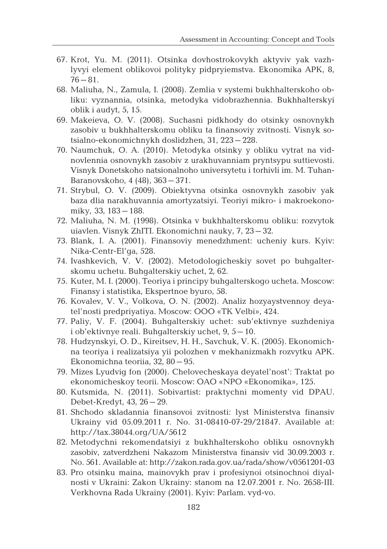- 67. Krot, Yu. M. (2011). Otsinka dovhostrokovykh aktyviv yak vazhlyvyi element oblikovoi polityky pidpryiemstva. Ekonomika APK, 8, 76–81.
- 68. Maliuha, N., Zamula, I. (2008). Zemlia v systemi bukhhalterskoho obliku: vyznannia, otsinka, metodyka vidobrazhennia. Bukhhalterskyi oblik i audyt, 5, 15.
- 69. Makeieva, O. V. (2008). Suchasni pidkhody do otsinky osnovnykh zasobiv u bukhhalterskomu obliku ta finansoviy zvitnosti. Visnyk sotsialno-ekonomichnykh doslidzhen, 31, 223–228.
- 70. Naumchuk, O. A. (2010). Metodyka otsinky y obliku vytrat na vidnovlennia osnovnykh zasobiv z urakhuvanniam pryntsypu suttievosti. Visnyk Donetskoho natsionalnoho universytetu i torhivli im. M. Tuhan-Baranovskoho, 4 (48), 363–371.
- 71. Strybul, O. V. (2009). Obiektyvna otsinka osnovnykh zasobiv yak baza dlia narakhuvannia amortyzatsiyi. Teoriyi mikro- i makroekonomiky, 33, 183–188.
- 72. Maliuha, N. M. (1998). Otsinka v bukhhalterskomu obliku: rozvytok uiavlen. Visnyk ZhITI. Ekonomichni nauky, 7, 23–32.
- 73. Blank, I. A. (2001). Finansoviy menedzhment: ucheniy kurs. Kyiv: Nika-Centr-El'ga, 528.
- 74. Ivashkevich, V. V. (2002). Metodologicheskiy sovet po buhgalterskomu uchetu. Buhgalterskiy uchet, 2, 62.
- 75. Kuter, M. I. (2000). Teoriya i principy buhgalterskogo ucheta. Moscow: Finansy i statistika, Ekspertnoe byuro, 58.
- 76. Kovalev, V. V., Volkova, O. N. (2002). Analiz hozyaystvennoy deyatel'nosti predpriyatiya. Moscow: OOO «TK Velbi», 424.
- 77. Paliy, V. F. (2004). Buhgalterskiy uchet: sub'ektivnye suzhdeniya i ob'ektivnye reali. Buhgalterskiy uchet, 9, 5–10.
- 78. Hudzynskyi, O. D., Kireitsev, H. H., Savchuk, V. K. (2005). Ekonomichna teoriya i realizatsiya yii polozhen v mekhanizmakh rozvytku APK. Ekonomichna teoriia, 32, 80–95.
- 79. Mizes Lyudvig fon (2000). Chelovecheskaya deyatel'nost': Traktat po ekonomicheskoy teorii. Moscow: OAO «NPO «Ekonomika», 125.
- 80. Kutsmida, N. (2011). Sobivartist: praktychni momenty vid DPAU. Debet-Kredyt, 43, 26–29.
- 81. Shchodo skladannia finansovoi zvitnosti: lyst Ministerstva finansiv Ukrainy vid 05.09.2011 r. No. 31-08410-07-29/21847. Available at: http://tax.38044.org/UA/5612
- 82. Metodychni rekomendatsiyi z bukhhalterskoho obliku osnovnykh zasobiv, zatverdzheni Nakazom Ministerstva finansiv vid 30.09.2003 r. No. 561. Available at: http://zakon.rada.gov.ua/rada/show/v0561201-03
- 83. Pro otsinku maina, mainovykh prav i profesiynoi otsinochnoi diyalnosti v Ukraini: Zakon Ukrainy: stanom na 12.07.2001 r. No. 2658-III. Verkhovna Rada Ukrainy (2001). Kyiv: Parlam. vyd-vo.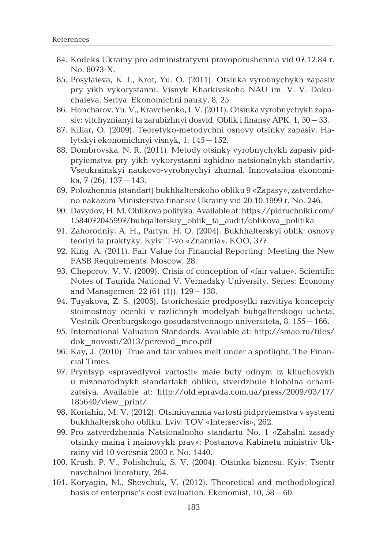- 84. Kodeks Ukrainy pro administratyvni pravoporushennia vid 07.12.84 r. No. 8073-X.
- 85. Posylaieva, K. I., Krot, Yu. O. (2011). Otsinka vyrobnychykh zapasiv pry yikh vykorystanni. Visnyk Kharkivskoho NAU im. V. V. Dokuchaieva. Seriya: Ekonomichni nauky, 8, 25.
- 86. Honcharov, Yu. V., Kravchenko, I. V.(2011). Otsinka vyrobnychykh zapasiv: vitchyznianyi ta zarubizhnyi dosvid. Oblik i finansy APK, 1, 50–53.
- 87. Kiliar, O. (2009). Teoretyko-metodychni osnovy otsinky zapasiv. Halytskyi ekonomichnyi visnyk, 1, 145–152.
- 88. Dombrovska, N. R. (2011). Metody otsinky vyrobnychykh zapasiv pidpryiemstva pry yikh vykorystanni zghidno natsionalnykh standartiv. Vseukrainskyi naukovo-vyrobnychyi zhurnal. Innovatsiina ekonomika, 7 (26), 137–143.
- 89. Polozhennia (standart) bukhhalterskoho obliku 9 «Zapasy», zatverdzheno nakazom Ministerstva finansiv Ukrainy vid 20.10.1999 r. No. 246.
- 90. Davydov, H. M. Oblikova polityka. Available at: https://pidruchniki.com/ 1584072045997/buhgalterskiy\_oblik\_ta\_audit/oblikova\_politika
- 91. Zahorodniy, A. H., Partyn, H. O. (2004). Bukhhalterskyi oblik: osnovy teoriyi ta praktyky. Kyiv: T-vo «Znannia», KOO, 377.
- 92. King, A. (2011). Fair Value for Financial Reporting: Meeting the New FASB Requirements. Мoscow, 28.
- 93. Cheporov, V. V. (2009). Crisis of conception of «fair value». Scientific Notes of Taurida National V. Vernadsky University. Series: Economy and Managemen, 22 (61 (1)), 129–138.
- 94. Tuyakova, Z. S. (2005). Istoricheskie predposylki razvitiya koncepciy stoimostnoy ocenki v razlichnyh modelyah buhgalterskogo ucheta. Vestnik Orenburgskogo gosudarstvennogo universiteta, 8, 155–166.
- 95. International Valuation Standards. Available at: http://smao.ru/files/ dok\_novosti/2013/perevod\_mco.pdf
- 96. Kay, J. (2010). True and fair values melt under a spotlight. The Financial Times.
- 97. Pryntsyp «spravedlyvoi vartosti» maie buty odnym iz kliuchovykh u mizhnarodnykh standartakh obliku, stverdzhuie hlobalna orhanizatsiya. Available at: http://old.epravda.com.ua/press/2009/03/17/ 185640/view\_print/
- 98. Koriahin, M. V. (2012). Otsiniuvannia vartosti pidpryiemstva v systemi bukhhalterskoho obliku. Lviv: TOV «Interservis», 262.
- 99. Pro zatverdzhennia Natsionalnoho standartu No. 1 «Zahalni zasady otsinky maina i mainovykh prav»: Postanova Kabinetu ministriv Ukrainy vid 10 veresnia 2003 r. No. 1440.
- 100. Krush, P. V., Polishchuk, S. V. (2004). Otsinka biznesu. Kyiv: Tsentr navchalnoi literatury, 264.
- 101. Koryagin, M., Shevchuk, V. (2012). Theoretical and methodological basis of enterprise's cost evaluation. Ekonomist, 10, 58–60.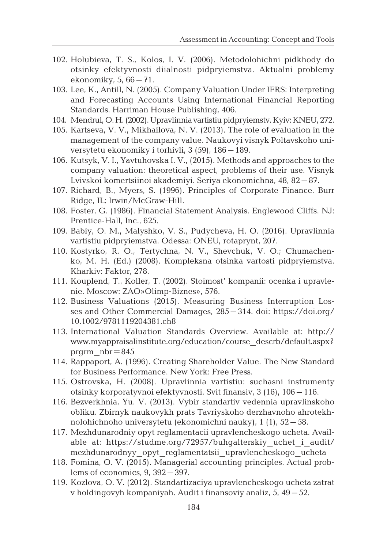- 102. Holubieva, T. S., Kolos, I. V. (2006). Metodolohichni pidkhody do otsinky efektyvnosti diialnosti pidpryiemstva. Aktualni problemy ekonomiky, 5, 66–71.
- 103. Lee, K., Antill, N. (2005). Company Valuation Under IFRS: Interpreting and Forecasting Accounts Using International Financial Reporting Standards. Harriman House Publishing, 406.
- 104. Mendrul, O. H.(2002). Upravlinnia vartistiu pidpryiemstv. Kyiv: KNEU, 272.
- 105. Kartseva, V. V., Mikhailova, N. V. (2013). The role of evaluation in the management of the company value. Naukovyi visnyk Poltavskoho universytetu ekonomiky i torhivli, 3 (59), 186–189.
- 106. Kutsyk, V. I., Yavtuhovska I. V., (2015). Methods and approaches to the company valuation: theoretical aspect, problems of their use. Visnyk Lvivskoi komertsiinoi akademiyi. Seriya ekonomichna, 48, 82–87.
- 107. Richard, B., Myers, S. (1996). Principles of Corporate Finance. Burr Ridge, IL: Irwin/McGraw-Hill.
- 108. Foster, G. (1986). Financial Statement Analysis. Englewood Cliffs. NJ: Prentice-Hall, Inc., 625.
- 109. Babiy, O. M., Malyshko, V. S., Pudycheva, H. O. (2016). Upravlinnia vartistiu pidpryiemstva. Odessa: ONEU, rotaprynt, 207.
- 110. Kostyrko, R. O., Tertychna, N. V., Shevchuk, V. O.; Chumachenko, M. H. (Ed.) (2008). Kompleksna otsinka vartosti pidpryiemstva. Kharkiv: Faktor, 278.
- 111. Kouplend, T., Koller, T. (2002). Stoimost' kompanii: ocenka i upravlenie. Moscow: ZAO»Olimp-Biznes», 576.
- 112. Business Valuations (2015). Measuring Business Interruption Losses and Other Commercial Damages, 285–314. doi: https://doi.org/ 10.1002/9781119204381.ch8
- 113. International Valuation Standards Overview. Available at: http:// www.myappraisalinstitute.org/education/course\_descrb/default.aspx? prgrm\_nbr=845
- 114. Rappaport, A. (1996). Creating Shareholder Value. The New Standard for Business Performance. New York: Free Press.
- 115. Ostrovska, H. (2008). Upravlinnia vartistiu: suchasni instrumenty otsinky korporatyvnoi efektyvnosti. Svit finansiv, 3 (16), 106–116.
- 116. Bezverkhnia, Yu. V. (2013). Vybir standartiv vedennia upravlinskoho obliku. Zbirnyk naukovykh prats Tavriyskoho derzhavnoho ahrotekhnolohichnoho universytetu (ekonomichni nauky), 1 (1), 52–58.
- 117. Mezhdunarodniy opyt reglamentacii upravlencheskogo ucheta. Available at: https://studme.org/72957/buhgalterskiy\_uchet\_i\_audit/ mezhdunarodnyy\_opyt\_reglamentatsii\_upravlencheskogo\_ucheta
- 118. Fomina, O. V. (2015). Managerial accounting principles. Actual problems of economics, 9, 392–397.
- 119. Kozlova, O. V. (2012). Standartizaciya upravlencheskogo ucheta zatrat v holdingovyh kompaniyah. Audit i finansoviy analiz, 5, 49–52.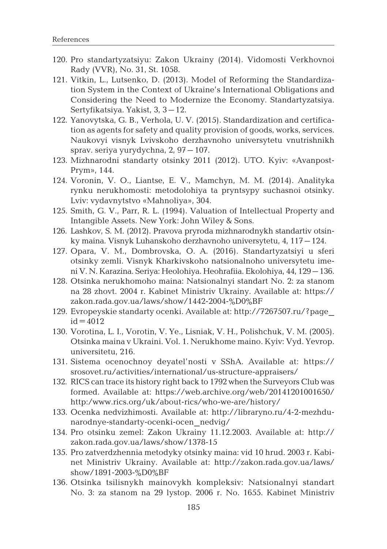- 120. Pro standartyzatsiyu: Zakon Ukrainy (2014). Vidomosti Verkhovnoi Rady (VVR), No. 31, St. 1058.
- 121. Vitkin, L., Lutsenko, D. (2013). Model of Reforming the Standardization System in the Context of Ukraine's International Obligations and Considering the Need to Modernize the Economy. Standartyzatsiya. Sertyfikatsiya. Yakist, 3, 3–12.
- 122. Yanovytska, G. B., Verhola, U. V. (2015). Standardization and certification as agents for safety and quality provision of goods, works, services. Naukovyi visnyk Lvivskoho derzhavnoho universytetu vnutrishnikh sprav. seriya yurydychna, 2, 97–107.
- 123. Mizhnarodni standarty otsinky 2011 (2012). UTO. Kyiv: «Avanpost-Prym», 144.
- 124. Voronin, V. O., Liantse, E. V., Mamchyn, M. M. (2014). Analityka rynku nerukhomosti: metodolohiya ta pryntsypy suchasnoi otsinky. Lviv: vydavnytstvo «Mahnoliya», 304.
- 125. Smith, G. V., Parr, R. L. (1994). Valuation of Intellectual Property and Intangible Assets. New York: John Wiley & Sons.
- 126. Lashkov, S. M. (2012). Pravova pryroda mizhnarodnykh standartiv otsinky maina. Visnyk Luhanskoho derzhavnoho universytetu, 4, 117–124.
- 127. Opara, V. M., Dombrovska, O. A. (2016). Standartyzatsiyi u sferi otsinky zemli. Visnyk Kharkivskoho natsionalnoho universytetu imeni V. N. Karazina. Seriya: Heolohiya. Heohrafiia. Ekolohiya, 44, 129–136.
- 128. Otsinka nerukhomoho maina: Natsionalnyi standart No. 2: za stanom na 28 zhovt. 2004 r. Kabinet Ministriv Ukrainy. Available at: https:// zakon.rada.gov.ua/laws/show/1442-2004-%D0%BF
- 129. Evropeyskie standarty ocenki. Available at: http://7267507.ru/?page\_  $id = 4012$
- 130. Vorotina, L. I., Vorotin, V. Ye., Lisniak, V. H., Polishchuk, V. M. (2005). Otsinka maina v Ukraini. Vol. 1. Nerukhome maino. Kyiv: Vyd. Yevrop. universitetu, 216.
- 131. Sistema ocenochnoy deyatel'nosti v SShA. Available at: https:// srosovet.ru/activities/international/us-structure-appraisers/
- 132. RICS can trace its history right back to 1792 when the Surveyors Club was formed. Available at: https://web.archive.org/web/20141201001650/ http:/www.rics.org/uk/about-rics/who-we-are/history/
- 133. Ocenka nedvizhimosti. Available at: http://libraryno.ru/4-2-mezhdunarodnye-standarty-ocenki-ocen\_nedvig/
- 134. Pro otsinku zemel: Zakon Ukrainy 11.12.2003. Available at: http:// zakon.rada.gov.ua/laws/show/1378-15
- 135. Pro zatverdzhennia metodyky otsinky maina: vid 10 hrud. 2003 r. Kabinet Ministriv Ukrainy. Available at: http://zakon.rada.gov.ua/laws/ show/1891-2003-%D0%BF
- 136. Otsinka tsilisnykh mainovykh kompleksiv: Natsionalnyi standart No. 3: za stanom na 29 lystop. 2006 r. No. 1655. Kabinet Ministriv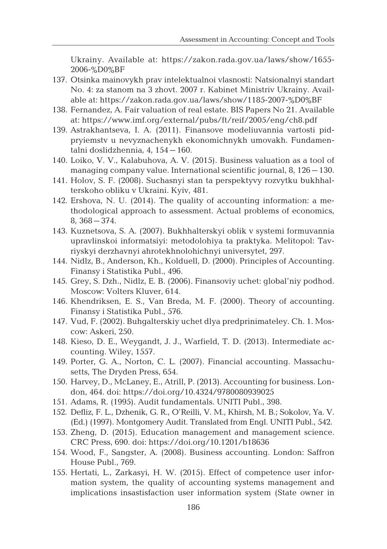Ukrainy. Available at: https://zakon.rada.gov.ua/laws/show/1655- 2006-%D0%BF

- 137. Otsinka mainovykh prav intelektualnoi vlasnosti: Natsionalnyi standart No. 4: za stanom na 3 zhovt. 2007 r. Kabinet Ministriv Ukrainy. Available at: https://zakon.rada.gov.ua/laws/show/1185-2007-%D0%BF
- 138. Fernandez, A. Fair valuation of real estate. BIS Papers No 21. Available at: https://www.imf.org/external/pubs/ft/reif/2005/eng/ch8.pdf
- 139. Astrakhantseva, I. A. (2011). Finansove modeliuvannia vartosti pidpryiemstv u nevyznachenykh ekonomichnykh umovakh. Fundamentalni doslidzhennia, 4, 154–160.
- 140. Loikо, V. V., Kalabuhova, A. V. (2015). Business valuation as a tool of managing company value. International scientific journal, 8, 126–130.
- 141. Holov, S. F. (2008). Suchasnyi stan ta perspektyvy rozvytku bukhhalterskoho obliku v Ukraini. Kyiv, 481.
- 142. Ershovа, N. U. (2014). The quality of accounting information: a methodological approach to assessment. Actual problems of economics, 8, 368–374.
- 143. Kuznetsova, S. A. (2007). Bukhhalterskyi oblik v systemi formuvannia upravlinskoi informatsiyi: metodolohiya ta praktyka. Melitopol: Tavriyskyi derzhavnyi ahrotekhnolohichnyi universytet, 297.
- 144. Nidlz, B., Anderson, Kh., Kolduell, D. (2000). Principles of Accounting. Finansy i Statistika Publ., 496.
- 145. Grey, S. Dzh., Nidlz, E. B. (2006). Finansoviy uchet: global'niy podhod. Moscow: Volters Kluver, 614.
- 146. Khendriksen, E. S., Van Breda, M. F. (2000). Theory of accounting. Finansy i Statistika Publ., 576.
- 147. Vud, F. (2002). Buhgalterskiy uchet dlya predprinimateley. Ch. 1. Moscow: Askeri, 250.
- 148. Kieso, D. E., Weygandt, J. J., Warfield, T. D. (2013). Intermediate accounting. Wiley, 1557.
- 149. Porter, G. A., Norton, C. L. (2007). Financial accounting. Massachusetts, The Dryden Press, 654.
- 150. Harvey, D., McLaney, E., Atrill, P. (2013). Accounting for business. London, 464. doi: https://doi.org/10.4324/9780080939025
- 151. Adams, R. (1995). Audit fundamentals. UNITI Publ., 398.
- 152. Defliz, F. L., Dzhenik, G. R., O'Reilli, V. M., Khirsh, M. B.; Sokolov, Ya. V. (Ed.) (1997). Montgomery Audit. Translated from Engl. UNITI Publ., 542.
- 153. Zheng, D. (2015). Education management and management science. CRC Press, 690. doi: https://doi.org/10.1201/b18636
- 154. Wood, F., Sangster, A. (2008). Business accounting. London: Saffron House Publ., 769.
- 155. Hertati, L., Zarkasyi, H. W. (2015). Effect of competence user information system, the quality of accounting systems management and implications insastisfaction user information system (State owner in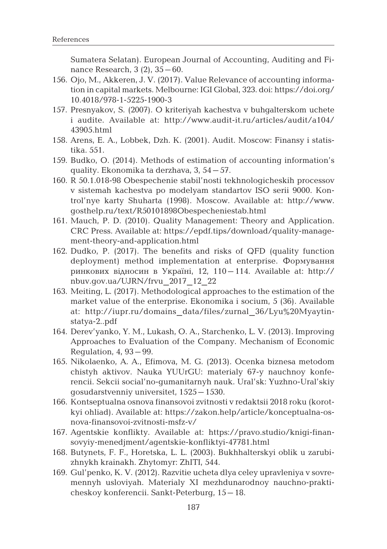Sumatera Selatan). European Journal of Accounting, Auditing and Finance Research, 3 (2), 35–60.

- 156. Ojo, M., Akkeren, J. V. (2017). Value Relevance of accounting information in capital markets. Melbourne: IGI Global, 323. doi: https://doi.org/ 10.4018/978-1-5225-1900-3
- 157. Presnyakov, S. (2007). O kriteriyah kachestva v buhgalterskom uchete i audite. Available at: http://www.audit-it.ru/articles/audit/a104/ 43905.html
- 158. Arens, E. A., Lobbek, Dzh. K. (2001). Audit. Moscow: Finansy i statistika. 551.
- 159. Budko, O. (2014). Methods of estimation of accounting information's quality. Ekonomika ta derzhava, 3, 54–57.
- 160. R 50.1.018-98 Obespechenie stabil'nosti tekhnologicheskih processov v sistemah kachestva po modelyam standartov ISO serii 9000. Kontrol'nye karty Shuharta (1998). Moscow. Available at: http://www. gosthelp.ru/text/R50101898Obespecheniestab.html
- 161. Mauch, P. D. (2010). Quality Management: Theory and Application. CRC Press. Available at: https://epdf.tips/download/quality-management-theory-and-application.html
- 162. Dudko, P. (2017). The benefits and risks of QFD (quality function deployment) method implementation at enterprise. Формування ринкових відносин в Україні, 12, 110–114. Available at: http:// nbuv.gov.ua/UJRN/frvu\_2017\_12\_22
- 163. Meiting, L. (2017). Methodological approaches to the estimation of the market value of the enterprise. Ekonomika i socium, 5 (36). Available at: http://iupr.ru/domains\_data/files/zurnal\_36/Lyu%20Myaytinstatya-2..pdf
- 164. Derev'yanko, Y. M., Lukash, O. A., Starchenko, L. V. (2013). Improving Approaches to Evaluation of the Company. Mechanism of Economic Regulation, 4, 93–99.
- 165. Nikolaenko, A. A., Efimova, M. G. (2013). Ocenka biznesa metodom chistyh aktivov. Nauka YUUrGU: materialy 67-y nauchnoy konferencii. Sekcii social'no-gumanitarnyh nauk. Ural'sk: Yuzhno-Ural'skiy gosudarstvenniy unіversitet, 1525–1530.
- 166. Kontseptualna osnova finansovoi zvitnosti v redaktsii 2018 roku (korotkyi ohliad). Available at: https://zakon.help/article/konceptualna-osnova-finansovoi-zvitnosti-msfz-v/
- 167. Agentskie konflikty. Available at: https://pravo.studio/knigi-finansovyiy-menedjment/agentskie-konfliktyi-47781.html
- 168. Butynets, F. F., Horetska, L. L. (2003). Bukhhalterskyi oblik u zarubizhnykh krainakh. Zhytomyr: ZhITI, 544.
- 169. Gul'penko, K. V. (2012). Razvitie ucheta dlya celey upravleniya v sovremennyh usloviyah. Materialy XI mezhdunarodnoy nauchno-prakticheskoy konferencii. Sankt-Peterburg, 15–18.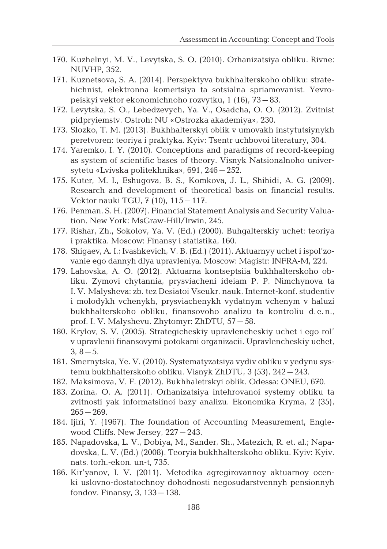- 170. Kuzhelnyi, M. V., Levytska, S. O. (2010). Orhanizatsiya obliku. Rivne: NUVHP, 352.
- 171. Kuznetsova, S. A. (2014). Perspektyva bukhhalterskoho obliku: stratehichnist, elektronna komertsiya ta sotsialna spriamovanist. Yevropeiskyi vektor ekonomichnoho rozvytku, 1 (16), 73–83.
- 172. Levytska, S. O., Lebedzevych, Ya. V., Osadcha, O. O. (2012). Zvitnist pidpryiemstv. Ostroh: NU «Ostrozka akademiya», 230.
- 173. Slozko, T. M. (2013). Bukhhalterskyi oblik v umovakh instytutsiynykh peretvoren: teoriya i praktyka. Kyiv: Tsentr uchbovoi literatury, 304.
- 174. Yaremko, I. Y. (2010). Conceptions and paradigms of record-keeping as system of scientific bases of theory. Visnyk Natsionalnoho universytetu «Lvivska politekhnika», 691, 246–252.
- 175. Kuter, M. I., Eshugova, B. S., Komkova, J. L., Shihidi, A. G. (2009). Research and development of theoretical basis on financial results. Vektor nauki TGU, 7 (10), 115–117.
- 176. Penman, S. H. (2007). Financial Statement Analysis and Security Valuation. New York: MsGraw-Hill/Irwin, 245.
- 177. Rishar, Zh., Sokolov, Ya. V. (Ed.) (2000). Buhgalterskiy uchet: teoriya i praktika. Moscow: Finansy i statistika, 160.
- 178. Shigaev, A. I.; Ivashkevich, V. B. (Ed.) (2011). Aktuarnyy uchet i ispol'zovanie ego dannyh dlya upravleniya. Moscow: Magistr: INFRA-M, 224.
- 179. Lahovska, A. O. (2012). Aktuarna kontseptsiia bukhhalterskoho obliku. Zymovi chytannia, prysviacheni ideiam P. P. Nimchynova ta I. V. Malysheva: zb. tez Desiatoi Vseukr. nauk. Internet-konf. studentiv i molodykh vchenykh, prysviachenykh vydatnym vchenym v haluzi bukhhalterskoho obliku, finansovoho analizu ta kontroliu d.e.n., prof. I. V. Malyshevu. Zhytomyr: ZhDTU, 57–58.
- 180. Krylov, S. V. (2005). Strategicheskiy upravlencheskiy uchet i ego rol' v upravlenii finansovymi potokami organizacii. Upravlencheskiy uchet,  $3, 8-5.$
- 181. Smernytska, Ye. V. (2010). Systematyzatsiya vydiv obliku v yedynu systemu bukhhalterskoho obliku. Visnyk ZhDTU, 3 (53), 242–243.
- 182. Maksimova, V. F. (2012). Bukhhaletrskyi oblik. Odessa: ONEU, 670.
- 183. Zorina, O. A. (2011). Orhanizatsiya intehrovanoi systemy obliku ta zvitnosti yak informatsiinoi bazy analizu. Ekonomika Kryma, 2 (35),  $265 - 269.$
- 184. Ijiri, Y. (1967). The foundation of Accounting Measurement, Englewood Cliffs. New Jersey, 227–243.
- 185. Napadovska, L. V., Dobiya, M., Sander, Sh., Matezich, R. et. al.; Napadovska, L. V. (Ed.) (2008). Teoryia bukhhalterskoho obliku. Kyiv: Kyiv. nats. torh.-ekon. un-t, 735.
- 186. Kir'yanov, I. V. (2011). Metodika agregirovannoy aktuarnoy ocenki uslovno-dostatochnoy dohodnosti negosudarstvennyh pensionnyh fondov. Finansy, 3, 133–138.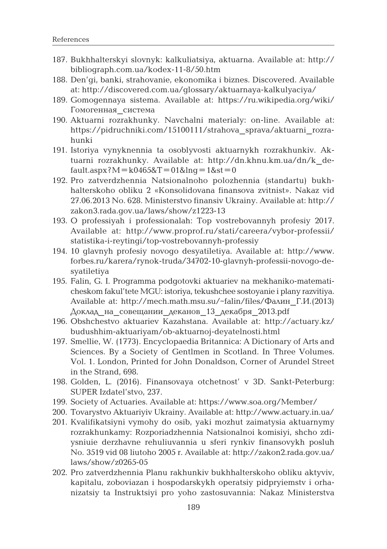- 187. Bukhhalterskyi slovnyk: kalkuliatsiya, aktuarna. Available at: http:// bibliograph.com.ua/kodex-11-8/50.htm
- 188. Den'gi, banki, strahovanie, ekonomika i biznes. Discovered. Available at: http://discovered.com.ua/glossary/aktuarnaya-kalkulyaciya/
- 189. Gomogennaya sistema. Available at: https://ru.wikipedia.org/wiki/ Гомогенная\_система
- 190. Aktuarni rozrakhunky. Navchalni materialy: on-line. Available at: https://pidruchniki.com/15100111/strahova\_sprava/aktuarni\_rozrahunki
- 191. Istoriya vynyknennia ta osoblyvosti aktuarnykh rozrakhunkiv. Aktuarni rozrakhunky. Available at: http://dn.khnu.km.ua/dn/k\_de $fault.$ aspx? $M = k0465&T = 01&ln q = 1&s t = 0$
- 192. Pro zatverdzhennia Natsionalnoho polozhennia (standartu) bukhhalterskoho obliku 2 «Konsolidovana finansova zvitnist». Nakaz vid 27.06.2013 No. 628. Ministerstvo finansiv Ukrainy. Available at: http:// zakon3.rada.gov.ua/laws/show/z1223-13
- 193. O professiyah i professionalah: Top vostrebovannyh profesiy 2017. Available at: http://www.proprof.ru/stati/careera/vybor-professii/ statistika-i-reytingi/top-vostrebovannyh-professiy
- 194. 10 glavnyh profesiy novogo desyatiletiya. Available at: http://www. forbes.ru/karera/rynok-truda/34702-10-glavnyh-professii-novogo-desyatiletiya
- 195. Falin, G. I. Programma podgotovki aktuariev na mekhaniko-matematicheskom fakul'tete MGU: istoriya, tekushchee sostoyanie i plany razvitiya. Available at: http://mech.math.msu.su/~falin/files/Фалин\_Г.И.(2013) Доклад\_на\_совещании\_деканов\_13\_декабря\_2013.pdf
- 196. Obshchestvo aktuariev Kazahstana. Available at: http://actuary.kz/ budushhim-aktuariyam/ob-aktuarnoj-deyatelnosti.html
- 197. Smellie, W. (1773). Encyclopaedia Britannica: A Dictionary of Arts and Sciences. By a Society of Gentlmen in Scotland. In Three Volumes. Vol. 1. London, Printed for John Donaldson, Corner of Arundel Street in the Strand, 698*.*
- 198. Golden, L. (2016). Finansovaya otchetnost' v 3D. Sankt-Peterburg: SUPER Izdatel'stvo, 237.
- 199. Society of Actuaries. Available at: https://www.soa.org/Member/
- 200. Tovarystvo Aktuariyiv Ukrainy. Available at: http://www.actuary.in.ua/
- 201. Kvalifikatsiyni vymohy do osib, yaki mozhut zaimatysia aktuarnymy rozrakhunkamy: Rozporiadzhennia Natsionalnoi komisiyi, shcho zdiysniuie derzhavne rehuliuvannia u sferi rynkiv finansovykh posluh No. 3519 vid 08 liutoho 2005 r. Available at: http://zakon2.rada.gov.ua/ laws/show/z0265-05
- 202. Pro zatverdzhennia Planu rakhunkiv bukhhalterskoho obliku aktyviv, kapitalu, zoboviazan i hospodarskykh operatsiy pidpryiemstv i orhanizatsiy ta Instruktsiyi pro yoho zastosuvannia: Nakaz Ministerstva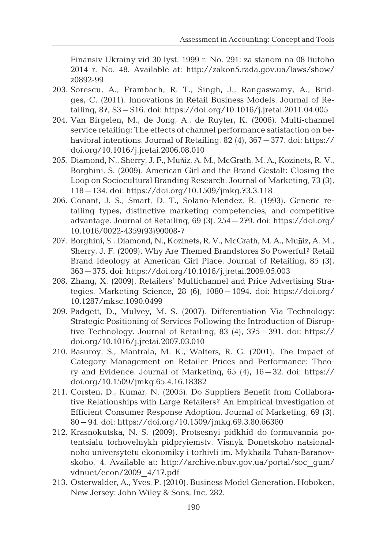Finansiv Ukrainy vid 30 lyst. 1999 r. No. 291: za stanom na 08 liutoho 2014 r. No. 48. Available at: http://zakon5.rada.gov.ua/laws/show/ z0892-99

- 203. Sorescu, A., Frambach, R. T., Singh, J., Rangaswamy, A., Bridges, C. (2011). Innovations in Retail Business Models. Journal of Retailing, 87, S3–S16. doi: https://doi.org/10.1016/j.jretai.2011.04.005
- 204. Van Birgelen, M., de Jong, A., de Ruyter, K. (2006). Multi-channel service retailing: The effects of channel performance satisfaction on behavioral intentions. Journal of Retailing, 82 (4), 367–377. doi: https:// doi.org/10.1016/j.jretai.2006.08.010
- 205. Diamond, N., Sherry, J. F., Muñiz, A. M., McGrath, M. A., Kozinets, R. V., Borghini, S. (2009). American Girl and the Brand Gestalt: Closing the Loop on Sociocultural Branding Research. Journal of Marketing, 73 (3), 118–134. doi: https://doi.org/10.1509/jmkg.73.3.118
- 206. Conant, J. S., Smart, D. T., Solano-Mendez, R. (1993). Generic retailing types, distinctive marketing competencies, and competitive advantage. Journal of Retailing, 69 (3), 254–279. doi: https://doi.org/ 10.1016/0022-4359(93)90008-7
- 207. Borghini, S., Diamond, N., Kozinets, R. V., McGrath, M. A., Muñiz, A. M., Sherry, J. F. (2009). Why Are Themed Brandstores So Powerful? Retail Brand Ideology at American Girl Place. Journal of Retailing, 85 (3), 363–375. doi: https://doi.org/10.1016/j.jretai.2009.05.003
- 208. Zhang, X. (2009). Retailers' Multichannel and Price Advertising Strategies. Marketing Science, 28 (6), 1080–1094. doi: https://doi.org/ 10.1287/mksc.1090.0499
- 209. Padgett, D., Mulvey, M. S. (2007). Differentiation Via Technology: Strategic Positioning of Services Following the Introduction of Disruptive Technology. Journal of Retailing, 83 (4), 375–391. doi: https:// doi.org/10.1016/j.jretai.2007.03.010
- 210. Basuroy, S., Mantrala, M. K., Walters, R. G. (2001). The Impact of Category Management on Retailer Prices and Performance: Theory and Evidence. Journal of Marketing, 65 (4), 16–32. doi: https:// doi.org/10.1509/jmkg.65.4.16.18382
- 211. Corsten, D., Kumar, N. (2005). Do Suppliers Benefit from Collaborative Relationships with Large Retailers? An Empirical Investigation of Efficient Consumer Response Adoption. Journal of Marketing, 69 (3), 80–94. doi: https://doi.org/10.1509/jmkg.69.3.80.66360
- 212. Krasnokutska, N. S. (2009). Protsesnyi pidkhid do formuvannia potentsialu torhovelnykh pidpryiemstv. Visnyk Donetskoho natsionalnoho universytetu ekonomiky i torhivli im. Mykhaila Tuhan-Baranovskoho, 4. Available at: http://archive.nbuv.gov.ua/portal/soc\_gum/ vdnuet/econ/2009\_4/17.pdf
- 213. Osterwalder, А., Yves, P. (2010). Business Model Generation. Hoboken, New Jersey: John Wiley & Sons, Inc, 282.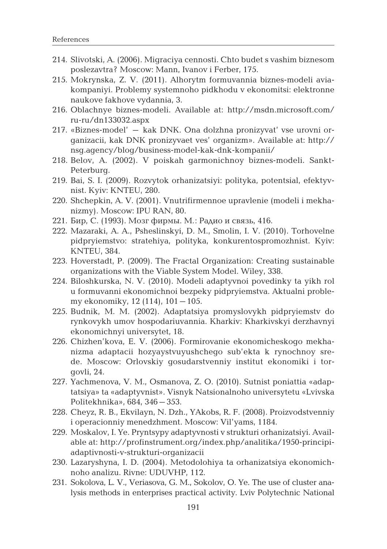- 214. Slivotski, A. (2006). Migraciya cennosti. Chto budet s vashim biznesom poslezavtra? Moscow: Mann, Ivanov i Ferber, 175.
- 215. Mokrynska, Z. V. (2011). Alhorytm formuvannia biznes-modeli aviakompaniyi. Problemy systemnoho pidkhodu v ekonomitsi: elektronne naukove fakhove vydannia, 3.
- 216. Oblachnye biznes-modeli. Available at: http://msdn.microsoft.com/ ru-ru/dn133032.aspx
- 217. «Biznes-model' kak DNK. Ona dolzhna pronizyvat' vse urovni organizacii, kak DNK pronizyvaet ves' organizm». Available at: http:// nsg.agency/blog/business-model-kak-dnk-kompanii/
- 218. Belov, A. (2002). V poiskah garmonichnoy biznes-modeli. Sankt-Peterburg.
- 219. Bai, S. I. (2009). Rozvytok orhanizatsiyi: polityka, potentsial, efektyvnist. Kyiv: KNTEU, 280.
- 220. Shchepkin, A. V. (2001). Vnutrifirmennoe upravlenie (modeli i mekhanizmy). Moscow: IPU RAN, 80.
- 221. Бир, С. (1993). Мозг фирмы. М.: Радио и связь, 416.
- 222. Mazaraki, A. A., Psheslinskyi, D. M., Smolin, I. V. (2010). Torhovelne pidpryiemstvo: stratehiya, polityka, konkurentospromozhnist. Kyiv: KNTEU, 384.
- 223. Hoverstadt, P. (2009). The Fractal Organization: Creating sustainable organizations with the Viable System Model. Wiley, 338.
- 224. Biloshkurska, N. V. (2010). Modeli adaptyvnoi povedinky ta yikh rol u formuvanni ekonomichnoi bezpeky pidpryiemstva. Aktualni problemy ekonomiky, 12 (114), 101–105.
- 225. Budnik, M. M. (2002). Adaptatsiya promyslovykh pidpryiemstv do rynkovykh umov hospodariuvannia. Kharkiv: Kharkivskyi derzhavnyi ekonomichnyi universytet, 18.
- 226. Chizhen'kova, E. V. (2006). Formirovanie ekonomicheskogo mekhanizma adaptacii hozyaystvuyushchego sub'ekta k rynochnoy srede. Moscow: Orlovskiy gosudarstvenniy institut ekonomiki i torgovli, 24.
- 227. Yachmenova, V. M., Osmanova, Z. O. (2010). Sutnist poniattia «adaptatsiya» ta «adaptyvnist». Visnyk Natsionalnoho universytetu «Lvivska Politekhnika», 684, 346–353.
- 228. Cheyz, R. B., Ekvilayn, N. Dzh., YAkobs, R. F. (2008). Proizvodstvenniy i operacionniy menedzhment. Moscow: Vil'yams, 1184.
- 229. Moskalov, I. Ye. Pryntsypy adaptyvnosti v strukturi orhanizatsiyi. Available at: http://profinstrument.org/index.php/analitika/1950-principiadaptivnosti-v-strukturi-organizacii
- 230. Lazaryshyna, I. D. (2004). Metodolohiya ta orhanizatsiya ekonomichnoho analizu. Rivne: UDUVHP, 112.
- 231. Sokolova, L. V., Veriasova, G. M., Sokolov, O. Ye. The use of cluster analysis methods in enterprises practical activity. Lviv Polytechnic National